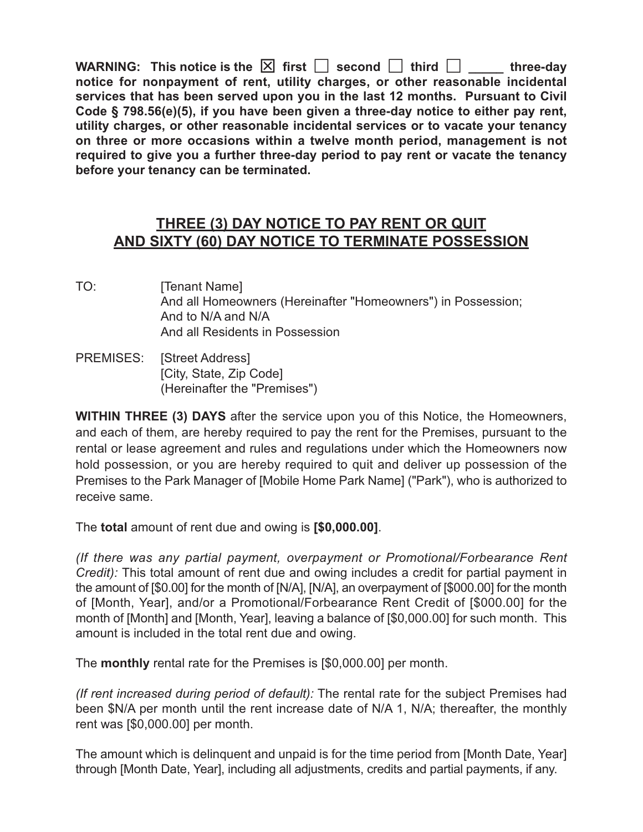**WARNING:** This notice is the  $\boxed{\times}$  first  $\boxed{\phantom{a}}$  second  $\boxed{\phantom{a}}$  third  $\boxed{\phantom{a}}$  three-day **notice for nonpayment of rent, utility charges, or other reasonable incidental services that has been served upon you in the last 12 months. Pursuant to Civil Code § 798.56(e)(5), if you have been given a three-day notice to either pay rent, utility charges, or other reasonable incidental services or to vacate your tenancy on three or more occasions within a twelve month period, management is not required to give you a further three-day period to pay rent or vacate the tenancy before your tenancy can be terminated.**

## **THREE (3) DAY NOTICE TO PAY RENT OR QUIT AND SIXTY (60) DAY NOTICE TO TERMINATE POSSESSION**

- TO: [Tenant Name] And all Homeowners (Hereinafter "Homeowners") in Possession; And to N/A and N/A And all Residents in Possession
- PREMISES: [Street Address] [City, State, Zip Code] (Hereinafter the "Premises")

**WITHIN THREE (3) DAYS** after the service upon you of this Notice, the Homeowners, and each of them, are hereby required to pay the rent for the Premises, pursuant to the rental or lease agreement and rules and regulations under which the Homeowners now hold possession, or you are hereby required to quit and deliver up possession of the Premises to the Park Manager of [Mobile Home Park Name] ("Park"), who is authorized to receive same.

The **total** amount of rent due and owing is **[\$0,000.00]**.

*(If there was any partial payment, overpayment or Promotional/Forbearance Rent Credit):* This total amount of rent due and owing includes a credit for partial payment in the amount of [\$0.00] for the month of [N/A], [N/A], an overpayment of [\$000.00] for the month of [Month, Year], and/or a Promotional/Forbearance Rent Credit of [\$000.00] for the month of [Month] and [Month, Year], leaving a balance of [\$0,000.00] for such month. This amount is included in the total rent due and owing.

The **monthly** rental rate for the Premises is [\$0,000.00] per month.

*(If rent increased during period of default):* The rental rate for the subject Premises had been \$N/A per month until the rent increase date of N/A 1, N/A; thereafter, the monthly rent was [\$0,000.00] per month.

The amount which is delinquent and unpaid is for the time period from [Month Date, Year] through [Month Date, Year], including all adjustments, credits and partial payments, if any.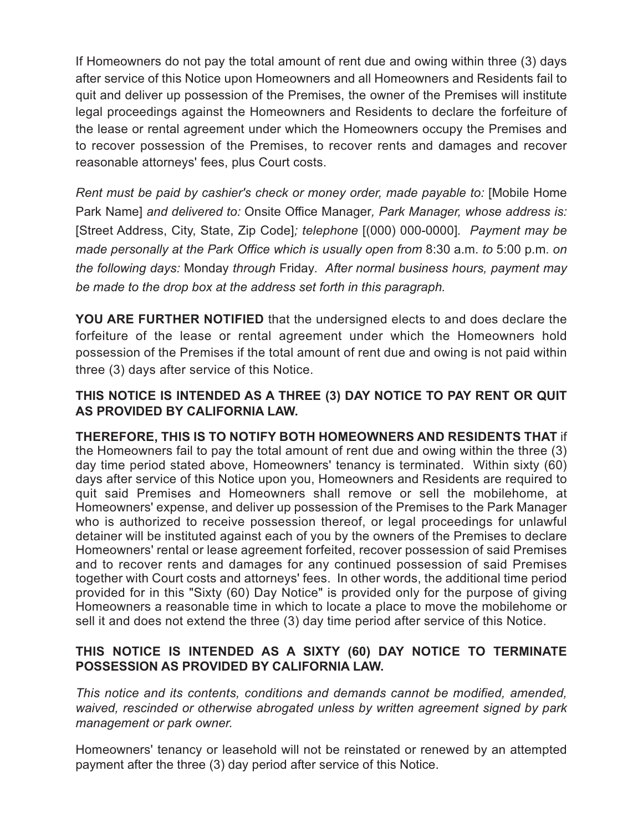If Homeowners do not pay the total amount of rent due and owing within three (3) days after service of this Notice upon Homeowners and all Homeowners and Residents fail to quit and deliver up possession of the Premises, the owner of the Premises will institute legal proceedings against the Homeowners and Residents to declare the forfeiture of the lease or rental agreement under which the Homeowners occupy the Premises and to recover possession of the Premises, to recover rents and damages and recover reasonable attorneys' fees, plus Court costs.

*Rent must be paid by cashier's check or money order, made payable to:* [Mobile Home Park Name] *and delivered to:* Onsite Office Manager*, Park Manager, whose address is:* [Street Address, City, State, Zip Code]*; telephone* [(000) 000-0000]*. Payment may be made personally at the Park Office which is usually open from* 8:30 a.m. *to* 5:00 p.m. *on the following days:* Monday *through* Friday*. After normal business hours, payment may be made to the drop box at the address set forth in this paragraph.*

**YOU ARE FURTHER NOTIFIED** that the undersigned elects to and does declare the forfeiture of the lease or rental agreement under which the Homeowners hold possession of the Premises if the total amount of rent due and owing is not paid within three (3) days after service of this Notice.

## **THIS NOTICE IS INTENDED AS A THREE (3) DAY NOTICE TO PAY RENT OR QUIT AS PROVIDED BY CALIFORNIA LAW.**

**THEREFORE, THIS IS TO NOTIFY BOTH HOMEOWNERS AND RESIDENTS THAT** if the Homeowners fail to pay the total amount of rent due and owing within the three (3) day time period stated above, Homeowners' tenancy is terminated. Within sixty (60) days after service of this Notice upon you, Homeowners and Residents are required to quit said Premises and Homeowners shall remove or sell the mobilehome, at Homeowners' expense, and deliver up possession of the Premises to the Park Manager who is authorized to receive possession thereof, or legal proceedings for unlawful detainer will be instituted against each of you by the owners of the Premises to declare Homeowners' rental or lease agreement forfeited, recover possession of said Premises and to recover rents and damages for any continued possession of said Premises together with Court costs and attorneys' fees. In other words, the additional time period provided for in this "Sixty (60) Day Notice" is provided only for the purpose of giving Homeowners a reasonable time in which to locate a place to move the mobilehome or sell it and does not extend the three (3) day time period after service of this Notice.

## **THIS NOTICE IS INTENDED AS A SIXTY (60) DAY NOTICE TO TERMINATE POSSESSION AS PROVIDED BY CALIFORNIA LAW.**

*This notice and its contents, conditions and demands cannot be modified, amended, waived, rescinded or otherwise abrogated unless by written agreement signed by park management or park owner.*

Homeowners' tenancy or leasehold will not be reinstated or renewed by an attempted payment after the three (3) day period after service of this Notice.